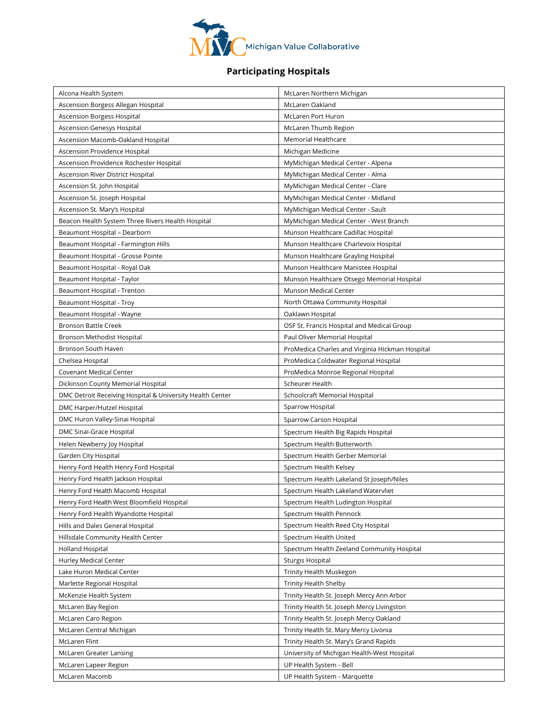

## **Participating Hospitals**

| Alcona Health System                                      | McLaren Northern Michigan                       |
|-----------------------------------------------------------|-------------------------------------------------|
| Ascension Borgess Allegan Hospital                        | McLaren Oakland                                 |
| <b>Ascension Borgess Hospital</b>                         | <b>McLaren Port Huron</b>                       |
| Ascension Genesys Hospital                                | McLaren Thumb Region                            |
| Ascension Macomb-Oakland Hospital                         | Memorial Healthcare                             |
| Ascension Providence Hospital                             | Michigan Medicine                               |
| Ascension Providence Rochester Hospital                   | MyMichigan Medical Center - Alpena              |
| Ascension River District Hospital                         | MyMichigan Medical Center - Alma                |
| Ascension St. John Hospital                               | MyMichigan Medical Center - Clare               |
| Ascension St. Joseph Hospital                             | MyMichigan Medical Center - Midland             |
| Ascension St. Mary's Hospital                             | MyMichigan Medical Center - Sault               |
| Beacon Health System Three Rivers Health Hospital         | MyMichigan Medical Center - West Branch         |
| Beaumont Hospital - Dearborn                              | Munson Healthcare Cadillac Hospital             |
| Beaumont Hospital - Farmington Hills                      | Munson Healthcare Charlevoix Hospital           |
| Beaumont Hospital - Grosse Pointe                         | Munson Healthcare Grayling Hospital             |
| Beaumont Hospital - Royal Oak                             | Munson Healthcare Manistee Hospital             |
| Beaumont Hospital - Taylor                                | Munson Healthcare Otsego Memorial Hospital      |
| Beaumont Hospital - Trenton                               | Munson Medical Center                           |
| Beaumont Hospital - Troy                                  | North Ottawa Community Hospital                 |
| Beaumont Hospital - Wayne                                 | Oaklawn Hospital                                |
| <b>Bronson Battle Creek</b>                               | OSF St. Francis Hospital and Medical Group      |
| Bronson Methodist Hospital                                | Paul Oliver Memorial Hospital                   |
| Bronson South Haven                                       | ProMedica Charles and Virginia Hickman Hospital |
| Chelsea Hospital                                          | ProMedica Coldwater Regional Hospital           |
| <b>Covenant Medical Center</b>                            | ProMedica Monroe Regional Hospital              |
| Dickinson County Memorial Hospital                        | Scheurer Health                                 |
| DMC Detroit Receiving Hospital & University Health Center | Schoolcraft Memorial Hospital                   |
| DMC Harper/Hutzel Hospital                                | Sparrow Hospital                                |
| DMC Huron Valley-Sinai Hospital                           | Sparrow Carson Hospital                         |
| DMC Sinai-Grace Hospital                                  | Spectrum Health Big Rapids Hospital             |
| Helen Newberry Joy Hospital                               | Spectrum Health Butterworth                     |
| Garden City Hospital                                      | Spectrum Health Gerber Memorial                 |
| Henry Ford Health Henry Ford Hospital                     | Spectrum Health Kelsey                          |
| Henry Ford Health Jackson Hospital                        | Spectrum Health Lakeland St Joseph/Niles        |
| Henry Ford Health Macomb Hospital                         | Spectrum Health Lakeland Watervliet             |
| Henry Ford Health West Bloomfield Hospital                | Spectrum Health Ludington Hospital              |
| Henry Ford Health Wyandotte Hospital                      | Spectrum Health Pennock                         |
| Hills and Dales General Hospital                          | Spectrum Health Reed City Hospital              |
| Hillsdale Community Health Center                         | Spectrum Health United                          |
| Holland Hospital                                          | Spectrum Health Zeeland Community Hospital      |
| Hurley Medical Center                                     | Sturgis Hospital                                |
| Lake Huron Medical Center                                 | Trinity Health Muskegon                         |
| Marlette Regional Hospital                                | <b>Trinity Health Shelby</b>                    |
| McKenzie Health System                                    | Trinity Health St. Joseph Mercy Ann Arbor       |
| McLaren Bay Region                                        | Trinity Health St. Joseph Mercy Livingston      |
| McLaren Caro Region                                       | Trinity Health St. Joseph Mercy Oakland         |
| McLaren Central Michigan                                  | Trinity Health St. Mary Mercy Livonia           |
| McLaren Flint                                             | Trinity Health St. Mary's Grand Rapids          |
| McLaren Greater Lansing                                   | University of Michigan Health-West Hospital     |
| McLaren Lapeer Region                                     | UP Health System - Bell                         |
| McLaren Macomb                                            | UP Health System - Marquette                    |